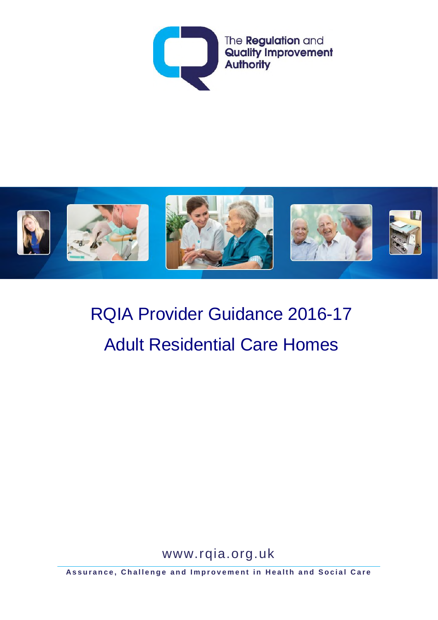



# RQIA Provider Guidance 2016-17 Adult Residential Care Homes

www.rqia.org.uk

**Assurance, Challenge and Improvement in Health and Social Care**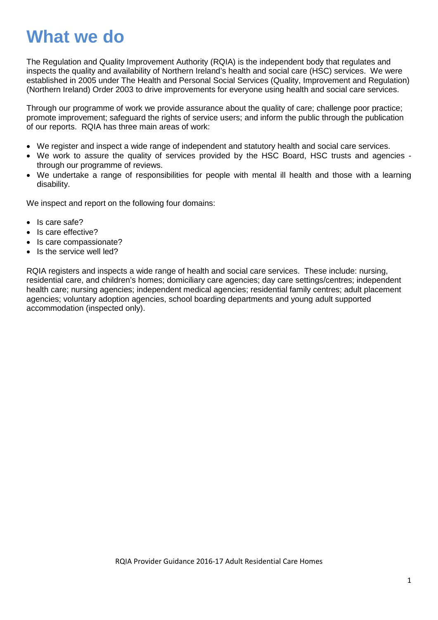## **What we do**

The Regulation and Quality Improvement Authority (RQIA) is the independent body that regulates and inspects the quality and availability of Northern Ireland's health and social care (HSC) services. We were established in 2005 under The Health and Personal Social Services (Quality, Improvement and Regulation) (Northern Ireland) Order 2003 to drive improvements for everyone using health and social care services.

Through our programme of work we provide assurance about the quality of care; challenge poor practice; promote improvement; safeguard the rights of service users; and inform the public through the publication of our reports. RQIA has three main areas of work:

- We register and inspect a wide range of independent and statutory health and social care services.
- We work to assure the quality of services provided by the HSC Board, HSC trusts and agencies through our programme of reviews.
- We undertake a range of responsibilities for people with mental ill health and those with a learning disability.

We inspect and report on the following four domains:

- Is care safe?
- Is care effective?
- Is care compassionate?
- Is the service well led?

RQIA registers and inspects a wide range of health and social care services. These include: nursing, residential care, and children's homes; domiciliary care agencies; day care settings/centres; independent health care; nursing agencies; independent medical agencies; residential family centres; adult placement agencies; voluntary adoption agencies, school boarding departments and young adult supported accommodation (inspected only).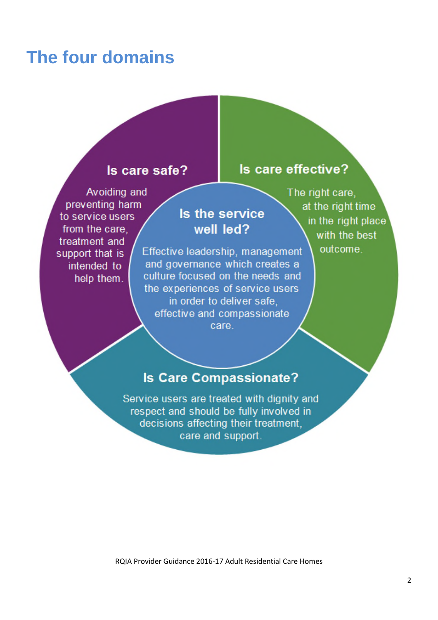## **The four domains**

### Is care safe?

### Avoiding and preventing harm to service users from the care. treatment and support that is intended to help them.

### Is the service well led?

Effective leadership, management and governance which creates a culture focused on the needs and the experiences of service users in order to deliver safe, effective and compassionate care.

The right care, at the right time in the right place with the best outcome.

Is care effective?

### **Is Care Compassionate?**

Service users are treated with dignity and respect and should be fully involved in decisions affecting their treatment. care and support.

RQIA Provider Guidance 2016-17 Adult Residential Care Homes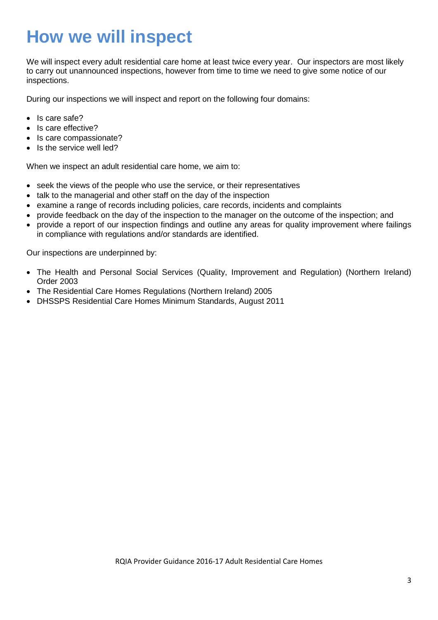## **How we will inspect**

We will inspect every adult residential care home at least twice every year. Our inspectors are most likely to carry out unannounced inspections, however from time to time we need to give some notice of our inspections.

During our inspections we will inspect and report on the following four domains:

- Is care safe?
- Is care effective?
- Is care compassionate?
- Is the service well led?

When we inspect an adult residential care home, we aim to:

- seek the views of the people who use the service, or their representatives
- talk to the managerial and other staff on the day of the inspection
- examine a range of records including policies, care records, incidents and complaints
- provide feedback on the day of the inspection to the manager on the outcome of the inspection; and
- provide a report of our inspection findings and outline any areas for quality improvement where failings in compliance with regulations and/or standards are identified.

Our inspections are underpinned by:

- The Health and Personal Social Services (Quality, Improvement and Regulation) (Northern Ireland) Order 2003
- The Residential Care Homes Regulations (Northern Ireland) 2005
- DHSSPS Residential Care Homes Minimum Standards, August 2011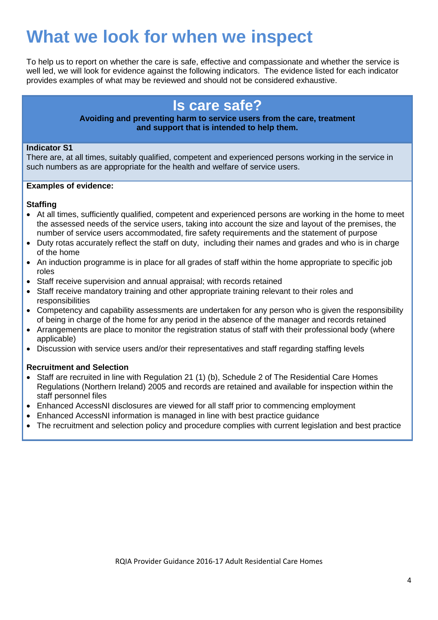## **What we look for when we inspect**

To help us to report on whether the care is safe, effective and compassionate and whether the service is well led, we will look for evidence against the following indicators. The evidence listed for each indicator provides examples of what may be reviewed and should not be considered exhaustive.

### **Is care safe?**

#### **Avoiding and preventing harm to service users from the care, treatment and support that is intended to help them.**

### **Indicator S1**

There are, at all times, suitably qualified, competent and experienced persons working in the service in such numbers as are appropriate for the health and welfare of service users.

### **Examples of evidence:**

### **Staffing**

- At all times, sufficiently qualified, competent and experienced persons are working in the home to meet the assessed needs of the service users, taking into account the size and layout of the premises, the number of service users accommodated, fire safety requirements and the statement of purpose
- Duty rotas accurately reflect the staff on duty, including their names and grades and who is in charge of the home
- An induction programme is in place for all grades of staff within the home appropriate to specific job roles
- Staff receive supervision and annual appraisal; with records retained
- Staff receive mandatory training and other appropriate training relevant to their roles and responsibilities
- Competency and capability assessments are undertaken for any person who is given the responsibility of being in charge of the home for any period in the absence of the manager and records retained
- Arrangements are place to monitor the registration status of staff with their professional body (where applicable)
- Discussion with service users and/or their representatives and staff regarding staffing levels

### **Recruitment and Selection**

- Staff are recruited in line with Regulation 21 (1) (b), Schedule 2 of The Residential Care Homes Regulations (Northern Ireland) 2005 and records are retained and available for inspection within the staff personnel files
- Enhanced AccessNI disclosures are viewed for all staff prior to commencing employment
- Enhanced AccessNI information is managed in line with best practice guidance
- The recruitment and selection policy and procedure complies with current legislation and best practice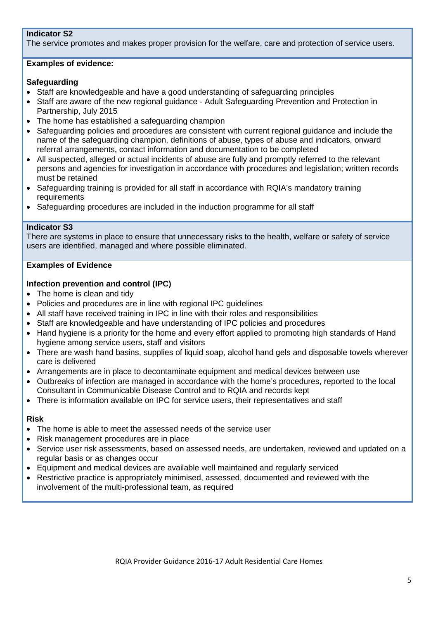### **Indicator S2**

The service promotes and makes proper provision for the welfare, care and protection of service users.

### **Examples of evidence:**

### **Safeguarding**

- Staff are knowledgeable and have a good understanding of safeguarding principles
- Staff are aware of the new regional guidance Adult Safeguarding Prevention and Protection in Partnership, July 2015
- The home has established a safeguarding champion
- Safeguarding policies and procedures are consistent with current regional guidance and include the name of the safeguarding champion, definitions of abuse, types of abuse and indicators, onward referral arrangements, contact information and documentation to be completed
- All suspected, alleged or actual incidents of abuse are fully and promptly referred to the relevant persons and agencies for investigation in accordance with procedures and legislation; written records must be retained
- Safeguarding training is provided for all staff in accordance with RQIA's mandatory training requirements
- Safeguarding procedures are included in the induction programme for all staff

### **Indicator S3**

There are systems in place to ensure that unnecessary risks to the health, welfare or safety of service users are identified, managed and where possible eliminated.

### **Examples of Evidence**

### **Infection prevention and control (IPC)**

- The home is clean and tidy
- Policies and procedures are in line with regional IPC guidelines
- All staff have received training in IPC in line with their roles and responsibilities
- Staff are knowledgeable and have understanding of IPC policies and procedures
- Hand hygiene is a priority for the home and every effort applied to promoting high standards of Hand hygiene among service users, staff and visitors
- There are wash hand basins, supplies of liquid soap, alcohol hand gels and disposable towels wherever care is delivered
- Arrangements are in place to decontaminate equipment and medical devices between use
- Outbreaks of infection are managed in accordance with the home's procedures, reported to the local Consultant in Communicable Disease Control and to RQIA and records kept
- There is information available on IPC for service users, their representatives and staff

### **Risk**

- The home is able to meet the assessed needs of the service user
- Risk management procedures are in place
- Service user risk assessments, based on assessed needs, are undertaken, reviewed and updated on a regular basis or as changes occur
- Equipment and medical devices are available well maintained and regularly serviced
- Restrictive practice is appropriately minimised, assessed, documented and reviewed with the involvement of the multi-professional team, as required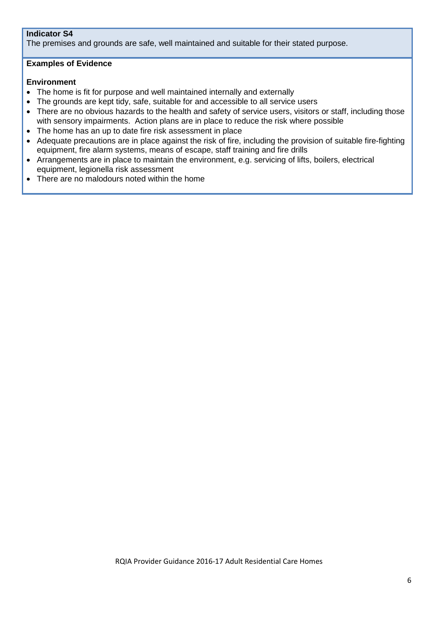### **Indicator S4**

The premises and grounds are safe, well maintained and suitable for their stated purpose.

### **Examples of Evidence**

### **Environment**

- The home is fit for purpose and well maintained internally and externally
- The grounds are kept tidy, safe, suitable for and accessible to all service users
- There are no obvious hazards to the health and safety of service users, visitors or staff, including those with sensory impairments. Action plans are in place to reduce the risk where possible
- The home has an up to date fire risk assessment in place
- Adequate precautions are in place against the risk of fire, including the provision of suitable fire-fighting equipment, fire alarm systems, means of escape, staff training and fire drills
- Arrangements are in place to maintain the environment, e.g. servicing of lifts, boilers, electrical equipment, legionella risk assessment
- There are no malodours noted within the home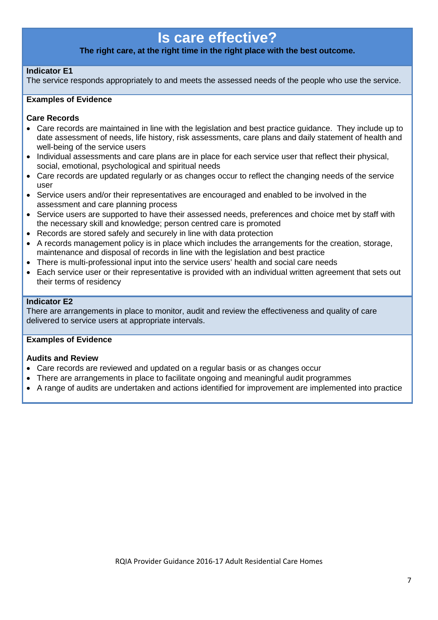### **Is care effective?**

### **The right care, at the right time in the right place with the best outcome.**

### **Indicator E1**

The service responds appropriately to and meets the assessed needs of the people who use the service.

### **Examples of Evidence**

#### **Care Records**

- Care records are maintained in line with the legislation and best practice guidance. They include up to date assessment of needs, life history, risk assessments, care plans and daily statement of health and well-being of the service users
- Individual assessments and care plans are in place for each service user that reflect their physical, social, emotional, psychological and spiritual needs
- Care records are updated regularly or as changes occur to reflect the changing needs of the service user
- Service users and/or their representatives are encouraged and enabled to be involved in the assessment and care planning process
- Service users are supported to have their assessed needs, preferences and choice met by staff with the necessary skill and knowledge; person centred care is promoted
- Records are stored safely and securely in line with data protection
- A records management policy is in place which includes the arrangements for the creation, storage, maintenance and disposal of records in line with the legislation and best practice
- There is multi-professional input into the service users' health and social care needs
- Each service user or their representative is provided with an individual written agreement that sets out their terms of residency

#### **Indicator E2**

There are arrangements in place to monitor, audit and review the effectiveness and quality of care delivered to service users at appropriate intervals.

### **Examples of Evidence**

#### **Audits and Review**

- Care records are reviewed and updated on a regular basis or as changes occur
- There are arrangements in place to facilitate ongoing and meaningful audit programmes
- A range of audits are undertaken and actions identified for improvement are implemented into practice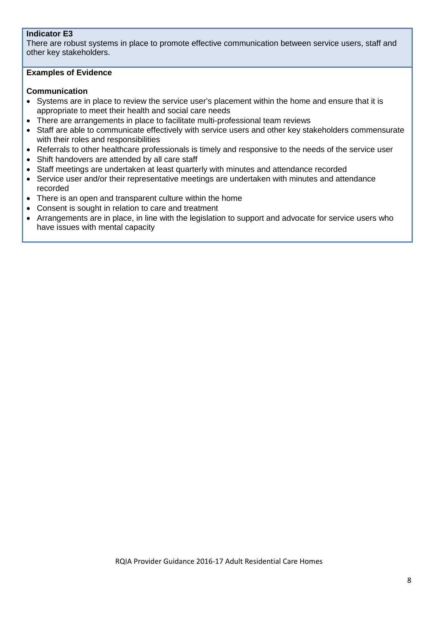### **Indicator E3**

There are robust systems in place to promote effective communication between service users, staff and other key stakeholders.

### **Examples of Evidence**

### **Communication**

- Systems are in place to review the service user's placement within the home and ensure that it is appropriate to meet their health and social care needs
- There are arrangements in place to facilitate multi-professional team reviews
- Staff are able to communicate effectively with service users and other key stakeholders commensurate with their roles and responsibilities
- Referrals to other healthcare professionals is timely and responsive to the needs of the service user
- Shift handovers are attended by all care staff
- Staff meetings are undertaken at least quarterly with minutes and attendance recorded
- Service user and/or their representative meetings are undertaken with minutes and attendance recorded
- There is an open and transparent culture within the home
- Consent is sought in relation to care and treatment
- Arrangements are in place, in line with the legislation to support and advocate for service users who have issues with mental capacity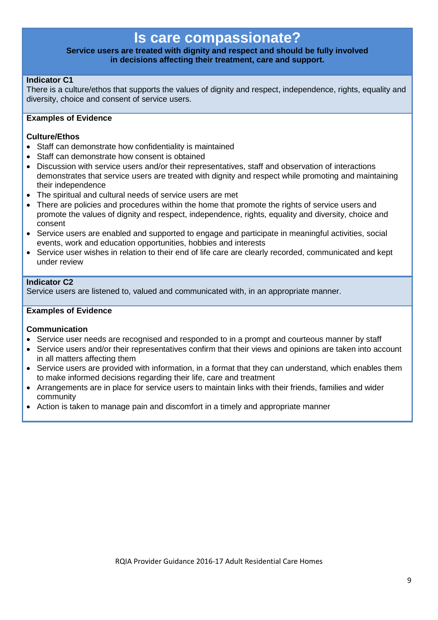### **Is care compassionate?**

### **Service users are treated with dignity and respect and should be fully involved in decisions affecting their treatment, care and support.**

### **Indicator C1**

There is a culture/ethos that supports the values of dignity and respect, independence, rights, equality and diversity, choice and consent of service users.

### **Examples of Evidence**

### **Culture/Ethos**

- Staff can demonstrate how confidentiality is maintained
- Staff can demonstrate how consent is obtained
- Discussion with service users and/or their representatives, staff and observation of interactions demonstrates that service users are treated with dignity and respect while promoting and maintaining their independence
- The spiritual and cultural needs of service users are met
- There are policies and procedures within the home that promote the rights of service users and promote the values of dignity and respect, independence, rights, equality and diversity, choice and consent
- Service users are enabled and supported to engage and participate in meaningful activities, social events, work and education opportunities, hobbies and interests
- Service user wishes in relation to their end of life care are clearly recorded, communicated and kept under review

### **Indicator C2**

Service users are listened to, valued and communicated with, in an appropriate manner.

### **Examples of Evidence**

### **Communication**

- Service user needs are recognised and responded to in a prompt and courteous manner by staff
- Service users and/or their representatives confirm that their views and opinions are taken into account in all matters affecting them
- Service users are provided with information, in a format that they can understand, which enables them to make informed decisions regarding their life, care and treatment
- Arrangements are in place for service users to maintain links with their friends, families and wider community
- Action is taken to manage pain and discomfort in a timely and appropriate manner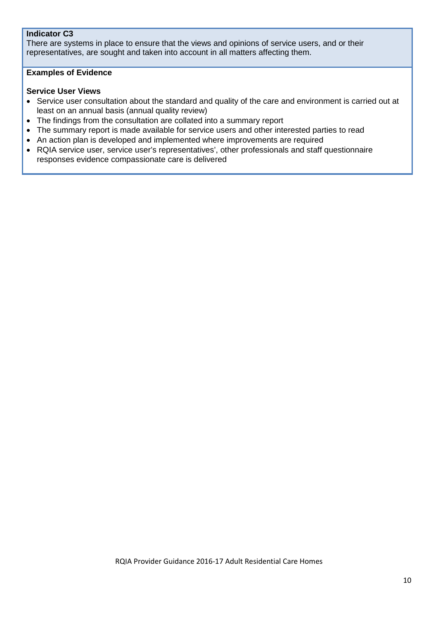### **Indicator C3**

There are systems in place to ensure that the views and opinions of service users, and or their representatives, are sought and taken into account in all matters affecting them.

### **Examples of Evidence**

### **Service User Views**

- Service user consultation about the standard and quality of the care and environment is carried out at least on an annual basis (annual quality review)
- The findings from the consultation are collated into a summary report
- The summary report is made available for service users and other interested parties to read
- An action plan is developed and implemented where improvements are required
- RQIA service user, service user's representatives', other professionals and staff questionnaire responses evidence compassionate care is delivered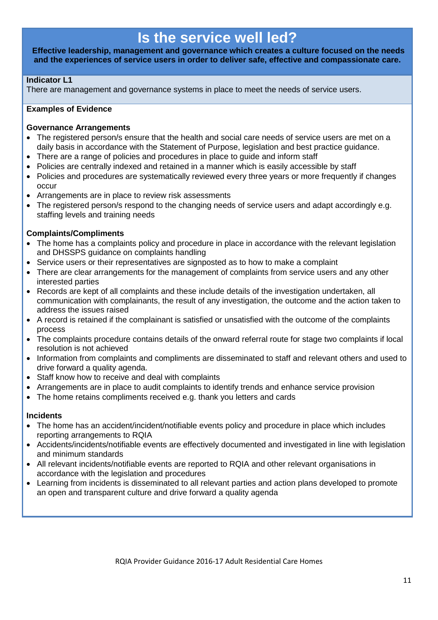### **Is the service well led?**

**Effective leadership, management and governance which creates a culture focused on the needs and the experiences of service users in order to deliver safe, effective and compassionate care.**

### **Indicator L1**

There are management and governance systems in place to meet the needs of service users.

### **Examples of Evidence**

### **Governance Arrangements**

- The registered person/s ensure that the health and social care needs of service users are met on a daily basis in accordance with the Statement of Purpose, legislation and best practice guidance.
- There are a range of policies and procedures in place to guide and inform staff
- Policies are centrally indexed and retained in a manner which is easily accessible by staff
- Policies and procedures are systematically reviewed every three years or more frequently if changes occur
- Arrangements are in place to review risk assessments
- The registered person/s respond to the changing needs of service users and adapt accordingly e.g. staffing levels and training needs

### **Complaints/Compliments**

- The home has a complaints policy and procedure in place in accordance with the relevant legislation and DHSSPS guidance on complaints handling
- Service users or their representatives are signposted as to how to make a complaint
- There are clear arrangements for the management of complaints from service users and any other interested parties
- Records are kept of all complaints and these include details of the investigation undertaken, all communication with complainants, the result of any investigation, the outcome and the action taken to address the issues raised
- A record is retained if the complainant is satisfied or unsatisfied with the outcome of the complaints process
- The complaints procedure contains details of the onward referral route for stage two complaints if local resolution is not achieved
- Information from complaints and compliments are disseminated to staff and relevant others and used to drive forward a quality agenda.
- Staff know how to receive and deal with complaints
- Arrangements are in place to audit complaints to identify trends and enhance service provision
- The home retains compliments received e.g. thank you letters and cards

### **Incidents**

- The home has an accident/incident/notifiable events policy and procedure in place which includes reporting arrangements to RQIA
- Accidents/incidents/notifiable events are effectively documented and investigated in line with legislation and minimum standards
- All relevant incidents/notifiable events are reported to RQIA and other relevant organisations in accordance with the legislation and procedures
- Learning from incidents is disseminated to all relevant parties and action plans developed to promote an open and transparent culture and drive forward a quality agenda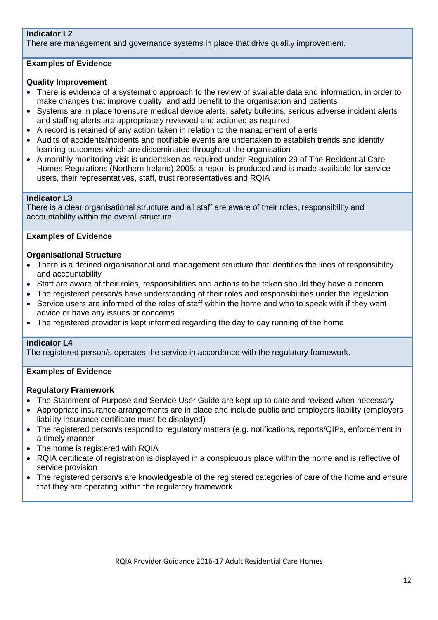### **Indicator L2**

There are management and governance systems in place that drive quality improvement.

### **Examples of Evidence**

### **Quality Improvement**

- There is evidence of a systematic approach to the review of available data and information, in order to make changes that improve quality, and add benefit to the organisation and patients
- Systems are in place to ensure medical device alerts, safety bulletins, serious adverse incident alerts and staffing alerts are appropriately reviewed and actioned as required
- A record is retained of any action taken in relation to the management of alerts
- Audits of accidents/incidents and notifiable events are undertaken to establish trends and identify learning outcomes which are disseminated throughout the organisation
- A monthly monitoring visit is undertaken as required under Regulation 29 of The Residential Care Homes Regulations (Northern Ireland) 2005; a report is produced and is made available for service users, their representatives, staff, trust representatives and RQIA

### **Indicator L3**

There is a clear organisational structure and all staff are aware of their roles, responsibility and accountability within the overall structure.

### **Examples of Evidence**

### **Organisational Structure**

- There is a defined organisational and management structure that identifies the lines of responsibility and accountability
- Staff are aware of their roles, responsibilities and actions to be taken should they have a concern
- The registered person/s have understanding of their roles and responsibilities under the legislation
- Service users are informed of the roles of staff within the home and who to speak with if they want advice or have any issues or concerns
- The registered provider is kept informed regarding the day to day running of the home

### **Indicator L4**

The registered person/s operates the service in accordance with the regulatory framework.

### **Examples of Evidence**

### **Regulatory Framework**

- The Statement of Purpose and Service User Guide are kept up to date and revised when necessary
- Appropriate insurance arrangements are in place and include public and employers liability (employers liability insurance certificate must be displayed)
- The registered person/s respond to regulatory matters (e.g. notifications, reports/QIPs, enforcement in a timely manner
- The home is registered with RQIA
- RQIA certificate of registration is displayed in a conspicuous place within the home and is reflective of service provision
- The registered person/s are knowledgeable of the registered categories of care of the home and ensure that they are operating within the regulatory framework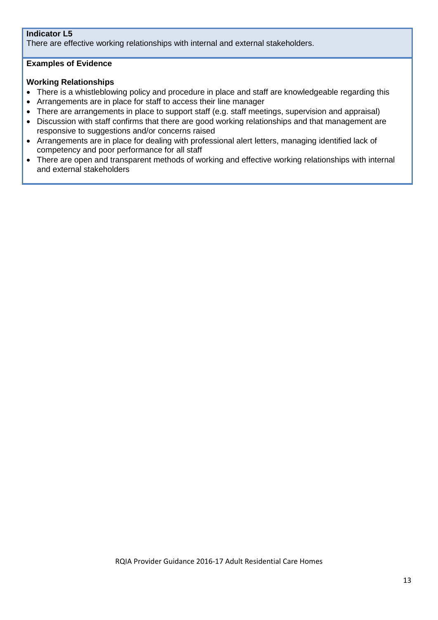### **Indicator L5**

There are effective working relationships with internal and external stakeholders.

### **Examples of Evidence**

### **Working Relationships**

- There is a whistleblowing policy and procedure in place and staff are knowledgeable regarding this
- Arrangements are in place for staff to access their line manager
- There are arrangements in place to support staff (e.g. staff meetings, supervision and appraisal)
- Discussion with staff confirms that there are good working relationships and that management are responsive to suggestions and/or concerns raised
- Arrangements are in place for dealing with professional alert letters, managing identified lack of competency and poor performance for all staff
- There are open and transparent methods of working and effective working relationships with internal and external stakeholders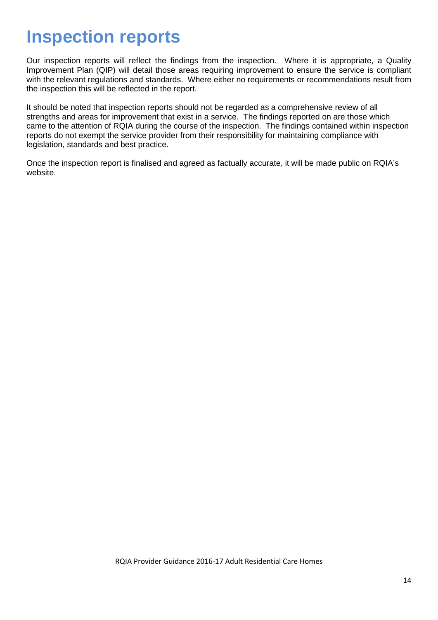## **Inspection reports**

Our inspection reports will reflect the findings from the inspection. Where it is appropriate, a Quality Improvement Plan (QIP) will detail those areas requiring improvement to ensure the service is compliant with the relevant regulations and standards. Where either no requirements or recommendations result from the inspection this will be reflected in the report.

It should be noted that inspection reports should not be regarded as a comprehensive review of all strengths and areas for improvement that exist in a service. The findings reported on are those which came to the attention of RQIA during the course of the inspection. The findings contained within inspection reports do not exempt the service provider from their responsibility for maintaining compliance with legislation, standards and best practice.

Once the inspection report is finalised and agreed as factually accurate, it will be made public on RQIA's website.